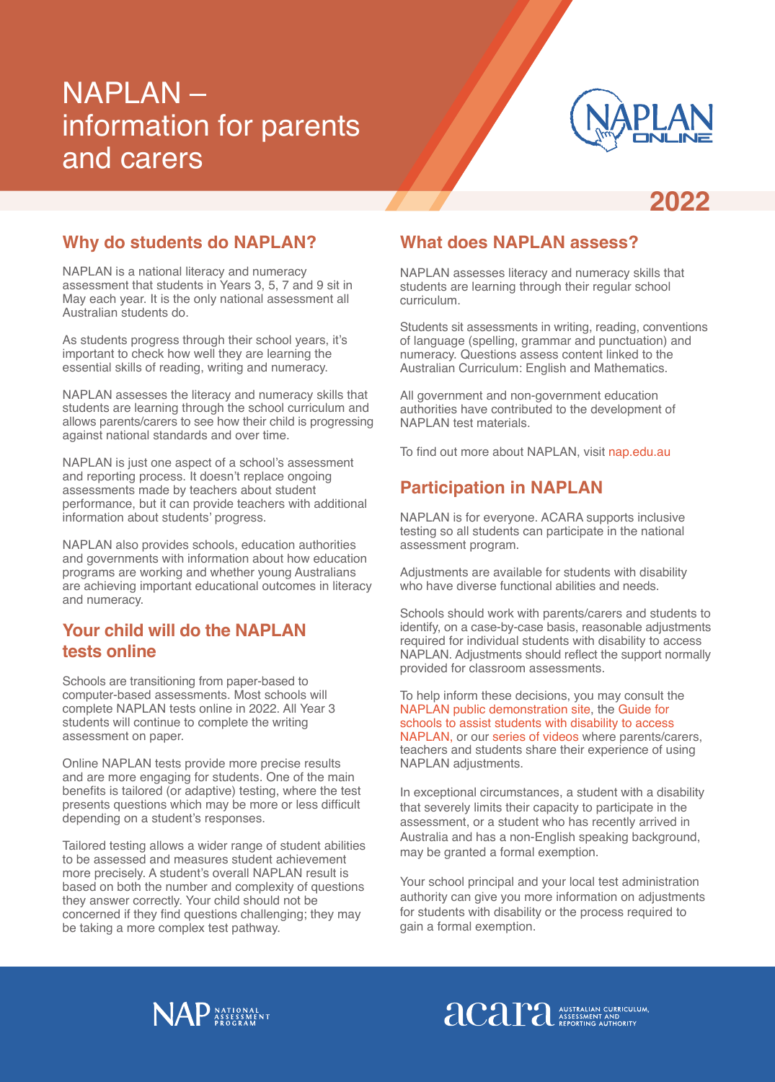# NAPLAN – information for parents and carers



# **2022**

#### **Why do students do NAPLAN?**

NAPLAN is a national literacy and numeracy assessment that students in Years 3, 5, 7 and 9 sit in May each year. It is the only national assessment all Australian students do.

As students progress through their school years, it's important to check how well they are learning the essential skills of reading, writing and numeracy.

NAPLAN assesses the literacy and numeracy skills that students are learning through the school curriculum and allows parents/carers to see how their child is progressing against national standards and over time.

NAPLAN is just one aspect of a school's assessment and reporting process. It doesn't replace ongoing assessments made by teachers about student performance, but it can provide teachers with additional information about students' progress.

NAPLAN also provides schools, education authorities and governments with information about how education programs are working and whether young Australians are achieving important educational outcomes in literacy and numeracy.

#### **Your child will do the NAPLAN tests online**

Schools are transitioning from paper-based to computer-based assessments. Most schools will complete NAPLAN tests online in 2022. All Year 3 students will continue to complete the writing assessment on paper.

Online NAPLAN tests provide more precise results and are more engaging for students. One of the main benefits is tailored (or adaptive) testing, where the test presents questions which may be more or less difficult depending on a student's responses.

Tailored testing allows a wider range of student abilities to be assessed and measures student achievement more precisely. A student's overall NAPLAN result is based on both the number and complexity of questions they answer correctly. Your child should not be concerned if they find questions challenging; they may be taking a more complex test pathway.

### **What does NAPLAN assess?**

NAPLAN assesses literacy and numeracy skills that students are learning through their regular school curriculum.

Students sit assessments in writing, reading, conventions of language (spelling, grammar and punctuation) and numeracy. Questions assess content linked to the Australian Curriculum: English and Mathematics.

All government and non-government education authorities have contributed to the development of NAPLAN test materials.

To find out more about NAPLAN, visit [nap.edu.au](http://nap.edu.au)

## **Participation in NAPLAN**

NAPLAN is for everyone. ACARA supports inclusive testing so all students can participate in the national assessment program.

Adjustments are available for students with disability who have diverse functional abilities and needs.

Schools should work with parents/carers and students to identify, on a case-by-case basis, reasonable adjustments required for individual students with disability to access NAPLAN. Adjustments should reflect the support normally provided for classroom assessments.

To help inform these decisions, you may consult the [NAPLAN public demonstration site](https://nap.edu.au/online-assessment/public-demonstration-site), the [Guide for](https://nap.edu.au/docs/default-source/default-document-library/guide-for-schools-to-assist-students-with-disability-to-access-naplan.pdf)  [schools to assist students with disability to access](https://nap.edu.au/docs/default-source/default-document-library/guide-for-schools-to-assist-students-with-disability-to-access-naplan.pdf)  [NAPLAN,](https://nap.edu.au/docs/default-source/default-document-library/guide-for-schools-to-assist-students-with-disability-to-access-naplan.pdf) or our [series of videos](https://www.nap.edu.au/online-assessment/accessibility) where parents/carers, teachers and students share their experience of using NAPLAN adjustments.

In exceptional circumstances, a student with a disability that severely limits their capacity to participate in the assessment, or a student who has recently arrived in Australia and has a non-English speaking background, may be granted a formal exemption.

Your school principal and your local test administration authority can give you more information on adjustments for students with disability or the process required to gain a formal exemption.